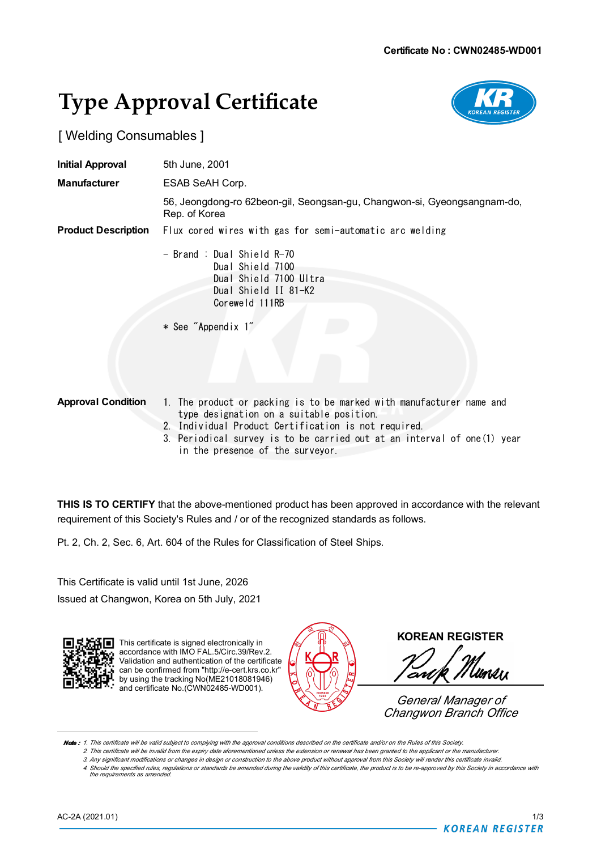## **Type Approval Certificate**



## [ Welding Consumables ]

| <b>Initial Approval</b>    | 5th June, 2001                                                                                                     |  |  |
|----------------------------|--------------------------------------------------------------------------------------------------------------------|--|--|
| <b>Manufacturer</b>        | ESAB SeAH Corp.                                                                                                    |  |  |
|                            | 56, Jeongdong-ro 62beon-gil, Seongsan-gu, Changwon-si, Gyeongsangnam-do,<br>Rep. of Korea                          |  |  |
| <b>Product Description</b> | Flux cored wires with gas for semi-automatic arc welding                                                           |  |  |
|                            | - Brand : Dual Shield R-70<br>Dual Shield 7100<br>Dual Shield 7100 Ultra<br>Dual Shield II 81-K2<br>Coreweld 111RB |  |  |
|                            | * See "Appendix 1"                                                                                                 |  |  |
| <b>Approval Condition</b>  | 1. The product or packing is to be marked with manufacturer name and<br>type designation on a suitable position.   |  |  |

- 2. Individual Product Certification is not required.
- 3. Periodical survey is to be carried out at an interval of one(1) year in the presence of the surveyor.

**THIS IS TO CERTIFY** that the above-mentioned product has been approved in accordance with the relevant requirement of this Society's Rules and / or of the recognized standards as follows.

Pt. 2, Ch. 2, Sec. 6, Art. 604 of the Rules for Classification of Steel Ships.

This Certificate is valid until 1st June, 2026 Issued at Changwon, Korea on 5th July, 2021



This certificate is signed electronically in accordance with IMO FAL.5/Circ.39/Rev.2 Validation and authentication of the certificate can be confirmed from "http://e-cert.krs.co.kr" **b** can be communed noth impairs socialized.<br>**I** by using the tracking No(ME21018081946) and certificate No.(CWN02485-WD001).



**KOREAN REGISTER**

Umlın an

*General Manager of Changwon Branch Office*

Note: 1. This certificate will be valid subject to complying with the approval conditions described on the certificate and/or on the Rules of this Society.

2. This certificate will be invalid from the expiry date aforementioned unless the extension or renewal has been granted to the applicant or the manufacturer 3. Any significant modifications or changes in design or construction to the above product without approval from this Society will render this certificate invalid.

4. Should the specified rules, regulations or standards be amended during the validity of this certificate, the product is to be re-approved by this Society in accordance with *the requirements as amended.*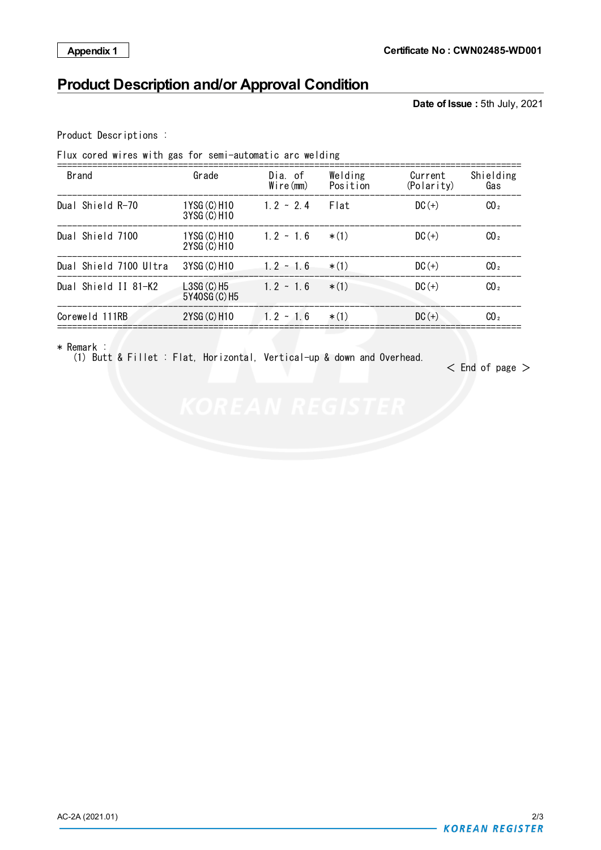## **Product Description and/or Approval Condition**

**Date of Issue :** 5th July, 2021

Product Descriptions :

Flux cored wires with gas for semi-automatic arc welding

| <b>Brand</b> |                        | Grade                         | Dia, of<br>$W$ ire $(mm)$ | Welding<br>Position | Current<br>(Polarity) | Shielding<br>Gas |
|--------------|------------------------|-------------------------------|---------------------------|---------------------|-----------------------|------------------|
|              | Dual Shield R-70       | 1YSG (C) H10<br>3YSG (C) H10  | $1.2 - 2.4$               | Flat                | $DC (+)$              | CO <sub>2</sub>  |
|              | Dual Shield 7100       | 1YSG (C) H10<br>2YSG (C) H10  | $1.2 - 1.6$               | $*$ (1)             | $DC (+)$              | CO <sub>2</sub>  |
|              | Dual Shield 7100 Ultra | 3YSG (C) H10                  | $1.2 - 1.6$               | $*(1)$              | $DC (+)$              | CO <sub>2</sub>  |
|              | Dual Shield II 81-K2   | $LSSG(G)$ H5<br>5Y40SG (C) H5 | $1.2 \div 1.6$            | $*(1)$              | $DC (+)$              | CO <sub>2</sub>  |
|              | Coreweld 111RB         | 2YSG (C) H10                  | $1.2 - 1.6$               | $*$ (1)             | $DC (+)$              | CO <sub>2</sub>  |

\* Remark :

(1) Butt & Fillet : Flat, Horizontal, Vertical-up & down and Overhead.

 $<$  End of page  $>$